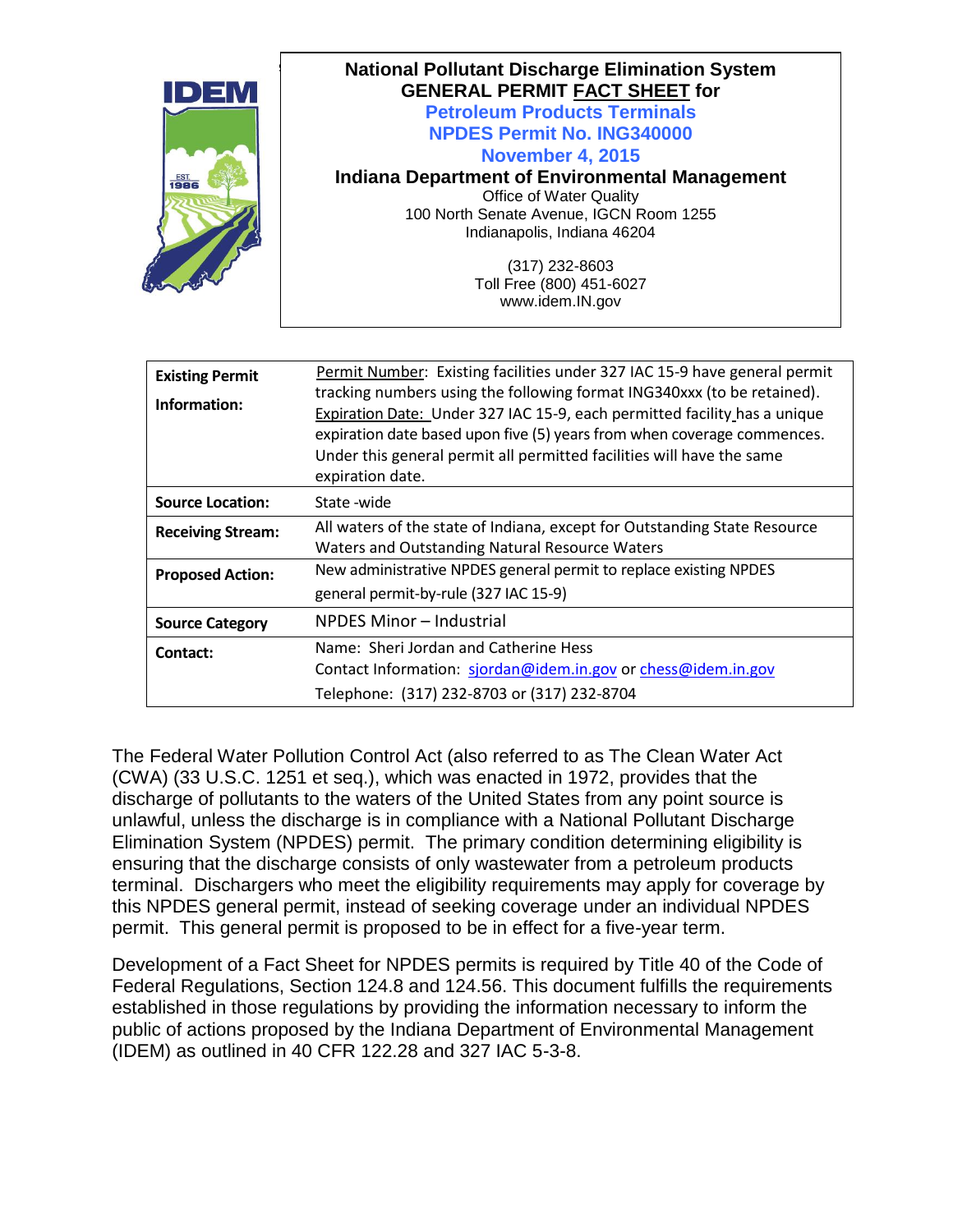| IDEM         | <b>National Pollutant Discharge Elimination System</b><br><b>GENERAL PERMIT FACT SHEET for</b> |
|--------------|------------------------------------------------------------------------------------------------|
|              | <b>Petroleum Products Terminals</b>                                                            |
|              | <b>NPDES Permit No. ING340000</b>                                                              |
|              | <b>November 4, 2015</b>                                                                        |
| EST.<br>1986 | <b>Indiana Department of Environmental Management</b>                                          |
|              | Office of Water Quality                                                                        |
|              | 100 North Senate Avenue, IGCN Room 1255                                                        |
|              | Indianapolis, Indiana 46204                                                                    |
|              | (317) 232-8603                                                                                 |
|              | Toll Free (800) 451-6027                                                                       |
|              | www.idem.IN.gov                                                                                |

| <b>Existing Permit</b><br>Information: | Permit Number: Existing facilities under 327 IAC 15-9 have general permit<br>tracking numbers using the following format ING340xxx (to be retained).<br>Expiration Date: Under 327 IAC 15-9, each permitted facility has a unique<br>expiration date based upon five (5) years from when coverage commences.<br>Under this general permit all permitted facilities will have the same<br>expiration date. |
|----------------------------------------|-----------------------------------------------------------------------------------------------------------------------------------------------------------------------------------------------------------------------------------------------------------------------------------------------------------------------------------------------------------------------------------------------------------|
| <b>Source Location:</b>                | State -wide                                                                                                                                                                                                                                                                                                                                                                                               |
| <b>Receiving Stream:</b>               | All waters of the state of Indiana, except for Outstanding State Resource<br>Waters and Outstanding Natural Resource Waters                                                                                                                                                                                                                                                                               |
| <b>Proposed Action:</b>                | New administrative NPDES general permit to replace existing NPDES<br>general permit-by-rule (327 IAC 15-9)                                                                                                                                                                                                                                                                                                |
| <b>Source Category</b>                 | NPDES Minor - Industrial                                                                                                                                                                                                                                                                                                                                                                                  |
| Contact:                               | Name: Sheri Jordan and Catherine Hess<br>Contact Information: sjordan@idem.in.gov or chess@idem.in.gov<br>Telephone: (317) 232-8703 or (317) 232-8704                                                                                                                                                                                                                                                     |

The Federal Water Pollution Control Act (also referred to as The Clean Water Act (CWA) (33 U.S.C. 1251 et seq.), which was enacted in 1972, provides that the discharge of pollutants to the waters of the United States from any point source is unlawful, unless the discharge is in compliance with a National Pollutant Discharge Elimination System (NPDES) permit. The primary condition determining eligibility is ensuring that the discharge consists of only wastewater from a petroleum products terminal. Dischargers who meet the eligibility requirements may apply for coverage by this NPDES general permit, instead of seeking coverage under an individual NPDES permit. This general permit is proposed to be in effect for a five-year term.

Development of a Fact Sheet for NPDES permits is required by Title 40 of the Code of Federal Regulations, Section 124.8 and 124.56. This document fulfills the requirements established in those regulations by providing the information necessary to inform the public of actions proposed by the Indiana Department of Environmental Management (IDEM) as outlined in 40 CFR 122.28 and 327 IAC 5-3-8.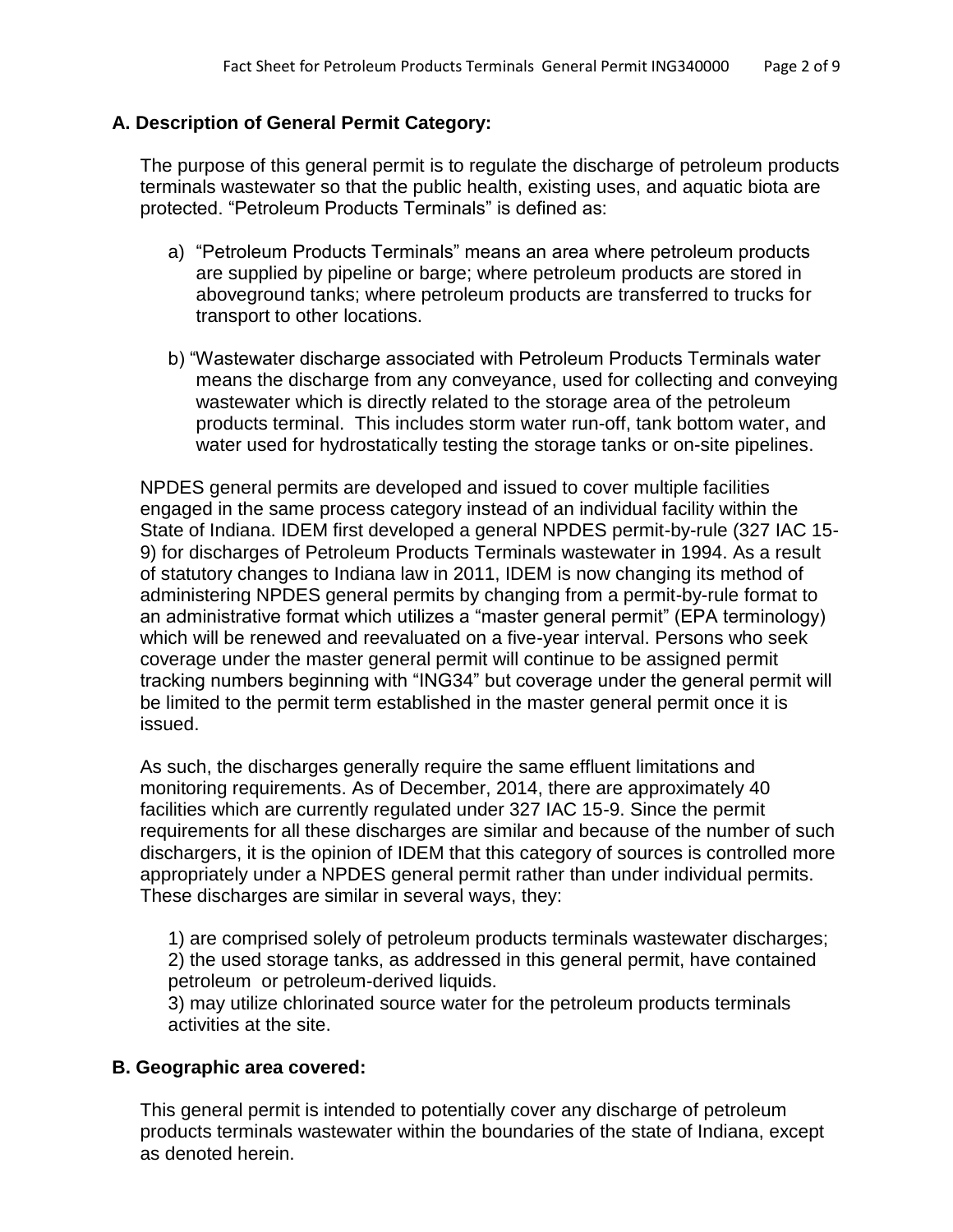### **A. Description of General Permit Category:**

The purpose of this general permit is to regulate the discharge of petroleum products terminals wastewater so that the public health, existing uses, and aquatic biota are protected. "Petroleum Products Terminals" is defined as:

- a) "Petroleum Products Terminals" means an area where petroleum products are supplied by pipeline or barge; where petroleum products are stored in aboveground tanks; where petroleum products are transferred to trucks for transport to other locations.
- b) "Wastewater discharge associated with Petroleum Products Terminals water means the discharge from any conveyance, used for collecting and conveying wastewater which is directly related to the storage area of the petroleum products terminal. This includes storm water run-off, tank bottom water, and water used for hydrostatically testing the storage tanks or on-site pipelines.

NPDES general permits are developed and issued to cover multiple facilities engaged in the same process category instead of an individual facility within the State of Indiana. IDEM first developed a general NPDES permit-by-rule (327 IAC 15- 9) for discharges of Petroleum Products Terminals wastewater in 1994. As a result of statutory changes to Indiana law in 2011, IDEM is now changing its method of administering NPDES general permits by changing from a permit-by-rule format to an administrative format which utilizes a "master general permit" (EPA terminology) which will be renewed and reevaluated on a five-year interval. Persons who seek coverage under the master general permit will continue to be assigned permit tracking numbers beginning with "ING34" but coverage under the general permit will be limited to the permit term established in the master general permit once it is issued.

As such, the discharges generally require the same effluent limitations and monitoring requirements. As of December, 2014, there are approximately 40 facilities which are currently regulated under 327 IAC 15-9. Since the permit requirements for all these discharges are similar and because of the number of such dischargers, it is the opinion of IDEM that this category of sources is controlled more appropriately under a NPDES general permit rather than under individual permits. These discharges are similar in several ways, they:

1) are comprised solely of petroleum products terminals wastewater discharges; 2) the used storage tanks, as addressed in this general permit, have contained petroleum or petroleum-derived liquids.

3) may utilize chlorinated source water for the petroleum products terminals activities at the site.

### **B. Geographic area covered:**

This general permit is intended to potentially cover any discharge of petroleum products terminals wastewater within the boundaries of the state of Indiana, except as denoted herein.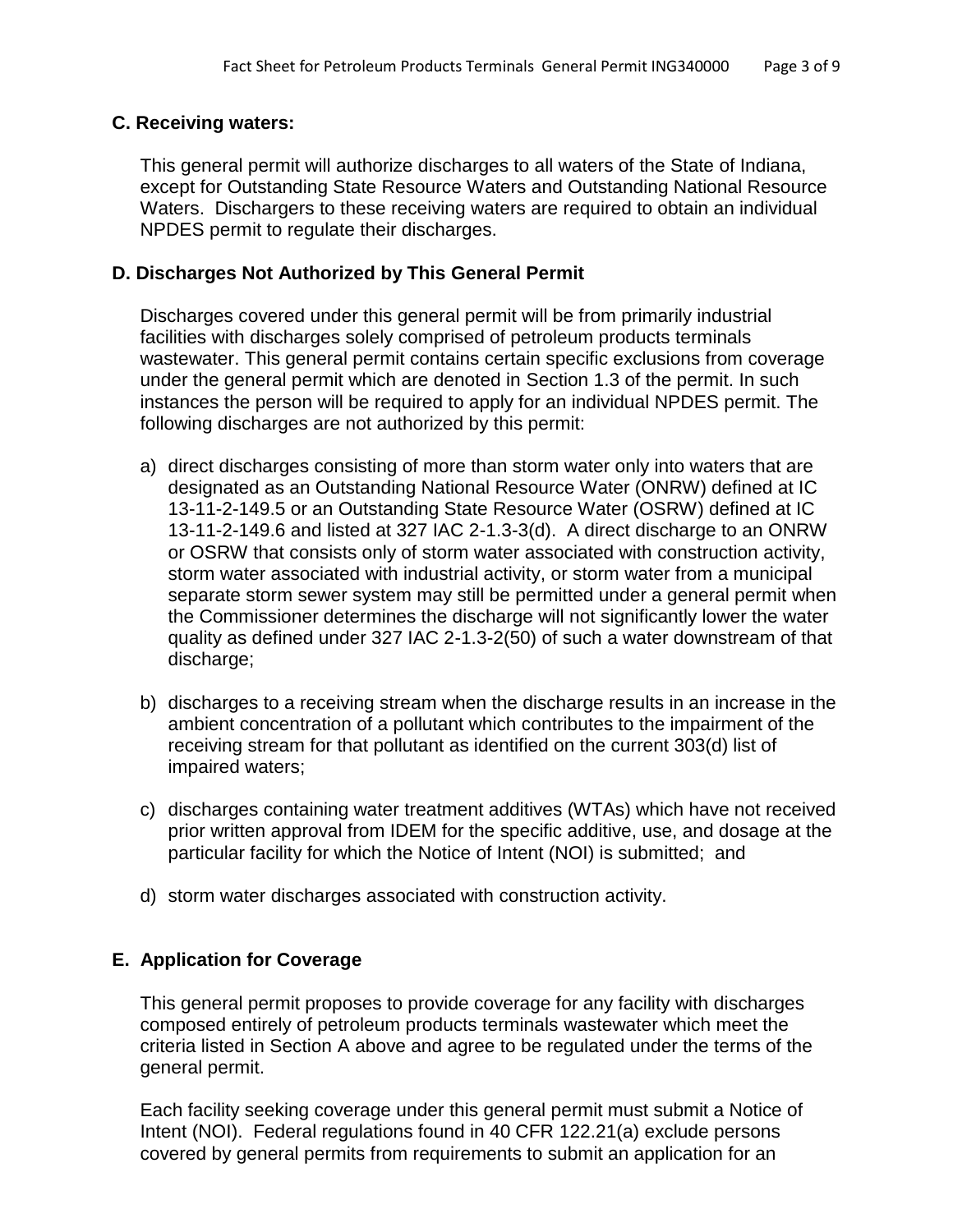#### **C. Receiving waters:**

This general permit will authorize discharges to all waters of the State of Indiana, except for Outstanding State Resource Waters and Outstanding National Resource Waters. Dischargers to these receiving waters are required to obtain an individual NPDES permit to regulate their discharges.

#### **D. Discharges Not Authorized by This General Permit**

Discharges covered under this general permit will be from primarily industrial facilities with discharges solely comprised of petroleum products terminals wastewater. This general permit contains certain specific exclusions from coverage under the general permit which are denoted in Section 1.3 of the permit. In such instances the person will be required to apply for an individual NPDES permit. The following discharges are not authorized by this permit:

- a) direct discharges consisting of more than storm water only into waters that are designated as an Outstanding National Resource Water (ONRW) defined at IC 13-11-2-149.5 or an Outstanding State Resource Water (OSRW) defined at IC 13-11-2-149.6 and listed at 327 IAC 2-1.3-3(d). A direct discharge to an ONRW or OSRW that consists only of storm water associated with construction activity, storm water associated with industrial activity, or storm water from a municipal separate storm sewer system may still be permitted under a general permit when the Commissioner determines the discharge will not significantly lower the water quality as defined under 327 IAC 2-1.3-2(50) of such a water downstream of that discharge;
- b) discharges to a receiving stream when the discharge results in an increase in the ambient concentration of a pollutant which contributes to the impairment of the receiving stream for that pollutant as identified on the current 303(d) list of impaired waters;
- c) discharges containing water treatment additives (WTAs) which have not received prior written approval from IDEM for the specific additive, use, and dosage at the particular facility for which the Notice of Intent (NOI) is submitted; and
- d) storm water discharges associated with construction activity.

### **E. Application for Coverage**

This general permit proposes to provide coverage for any facility with discharges composed entirely of petroleum products terminals wastewater which meet the criteria listed in Section A above and agree to be regulated under the terms of the general permit.

Each facility seeking coverage under this general permit must submit a Notice of Intent (NOI). Federal regulations found in 40 CFR 122.21(a) exclude persons covered by general permits from requirements to submit an application for an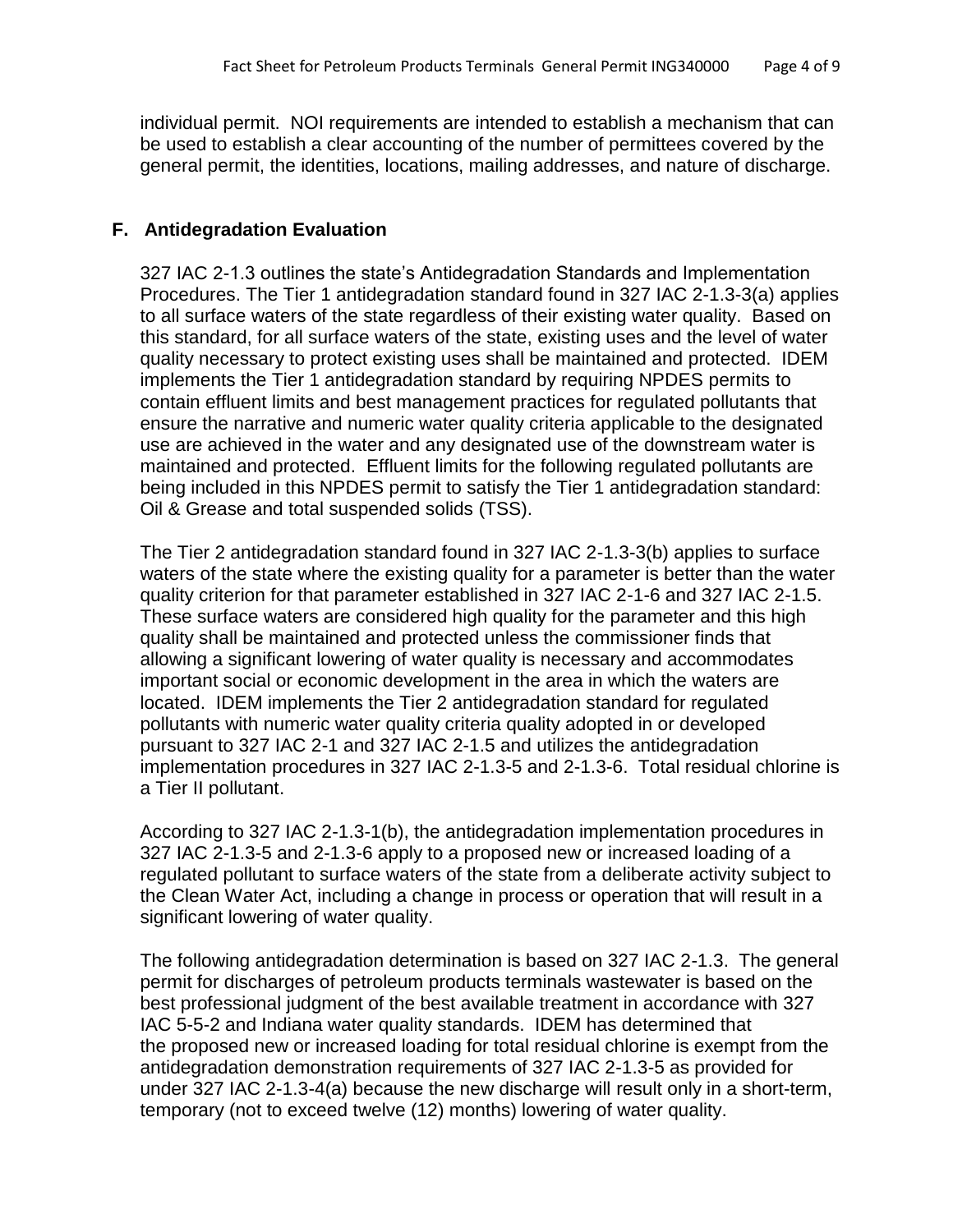individual permit. NOI requirements are intended to establish a mechanism that can be used to establish a clear accounting of the number of permittees covered by the general permit, the identities, locations, mailing addresses, and nature of discharge.

# **F. Antidegradation Evaluation**

327 IAC 2-1.3 outlines the state's Antidegradation Standards and Implementation Procedures. The Tier 1 antidegradation standard found in 327 IAC 2-1.3-3(a) applies to all surface waters of the state regardless of their existing water quality. Based on this standard, for all surface waters of the state, existing uses and the level of water quality necessary to protect existing uses shall be maintained and protected. IDEM implements the Tier 1 antidegradation standard by requiring NPDES permits to contain effluent limits and best management practices for regulated pollutants that ensure the narrative and numeric water quality criteria applicable to the designated use are achieved in the water and any designated use of the downstream water is maintained and protected. Effluent limits for the following regulated pollutants are being included in this NPDES permit to satisfy the Tier 1 antidegradation standard: Oil & Grease and total suspended solids (TSS).

The Tier 2 antidegradation standard found in 327 IAC 2-1.3-3(b) applies to surface waters of the state where the existing quality for a parameter is better than the water quality criterion for that parameter established in 327 IAC 2-1-6 and 327 IAC 2-1.5. These surface waters are considered high quality for the parameter and this high quality shall be maintained and protected unless the commissioner finds that allowing a significant lowering of water quality is necessary and accommodates important social or economic development in the area in which the waters are located. IDEM implements the Tier 2 antidegradation standard for regulated pollutants with numeric water quality criteria quality adopted in or developed pursuant to 327 IAC 2-1 and 327 IAC 2-1.5 and utilizes the antidegradation implementation procedures in 327 IAC 2-1.3-5 and 2-1.3-6. Total residual chlorine is a Tier II pollutant.

According to 327 IAC 2-1.3-1(b), the antidegradation implementation procedures in 327 IAC 2-1.3-5 and 2-1.3-6 apply to a proposed new or increased loading of a regulated pollutant to surface waters of the state from a deliberate activity subject to the Clean Water Act, including a change in process or operation that will result in a significant lowering of water quality.

The following antidegradation determination is based on 327 IAC 2-1.3. The general permit for discharges of petroleum products terminals wastewater is based on the best professional judgment of the best available treatment in accordance with 327 IAC 5-5-2 and Indiana water quality standards. IDEM has determined that the proposed new or increased loading for total residual chlorine is exempt from the antidegradation demonstration requirements of 327 IAC 2-1.3-5 as provided for under 327 IAC 2-1.3-4(a) because the new discharge will result only in a short-term, temporary (not to exceed twelve (12) months) lowering of water quality.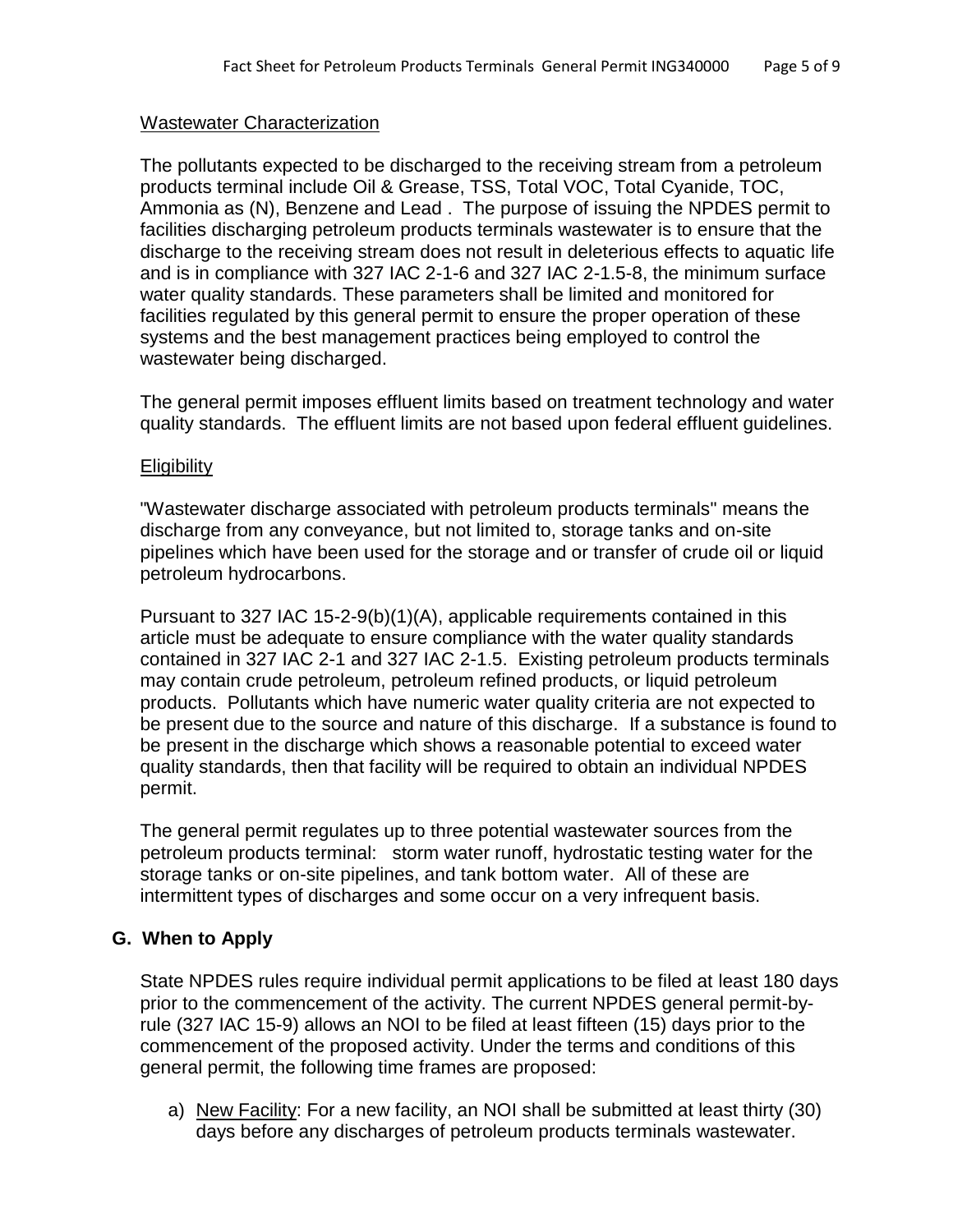#### Wastewater Characterization

The pollutants expected to be discharged to the receiving stream from a petroleum products terminal include Oil & Grease, TSS, Total VOC, Total Cyanide, TOC, Ammonia as (N), Benzene and Lead . The purpose of issuing the NPDES permit to facilities discharging petroleum products terminals wastewater is to ensure that the discharge to the receiving stream does not result in deleterious effects to aquatic life and is in compliance with 327 IAC 2-1-6 and 327 IAC 2-1.5-8, the minimum surface water quality standards. These parameters shall be limited and monitored for facilities regulated by this general permit to ensure the proper operation of these systems and the best management practices being employed to control the wastewater being discharged.

The general permit imposes effluent limits based on treatment technology and water quality standards. The effluent limits are not based upon federal effluent guidelines.

#### **Eligibility**

"Wastewater discharge associated with petroleum products terminals" means the discharge from any conveyance, but not limited to, storage tanks and on-site pipelines which have been used for the storage and or transfer of crude oil or liquid petroleum hydrocarbons.

Pursuant to 327 IAC 15-2-9(b)(1)(A), applicable requirements contained in this article must be adequate to ensure compliance with the water quality standards contained in 327 IAC 2-1 and 327 IAC 2-1.5. Existing petroleum products terminals may contain crude petroleum, petroleum refined products, or liquid petroleum products. Pollutants which have numeric water quality criteria are not expected to be present due to the source and nature of this discharge. If a substance is found to be present in the discharge which shows a reasonable potential to exceed water quality standards, then that facility will be required to obtain an individual NPDES permit.

The general permit regulates up to three potential wastewater sources from the petroleum products terminal: storm water runoff, hydrostatic testing water for the storage tanks or on-site pipelines, and tank bottom water. All of these are intermittent types of discharges and some occur on a very infrequent basis.

### **G. When to Apply**

State NPDES rules require individual permit applications to be filed at least 180 days prior to the commencement of the activity. The current NPDES general permit-byrule (327 IAC 15-9) allows an NOI to be filed at least fifteen (15) days prior to the commencement of the proposed activity. Under the terms and conditions of this general permit, the following time frames are proposed:

a) New Facility: For a new facility, an NOI shall be submitted at least thirty (30) days before any discharges of petroleum products terminals wastewater.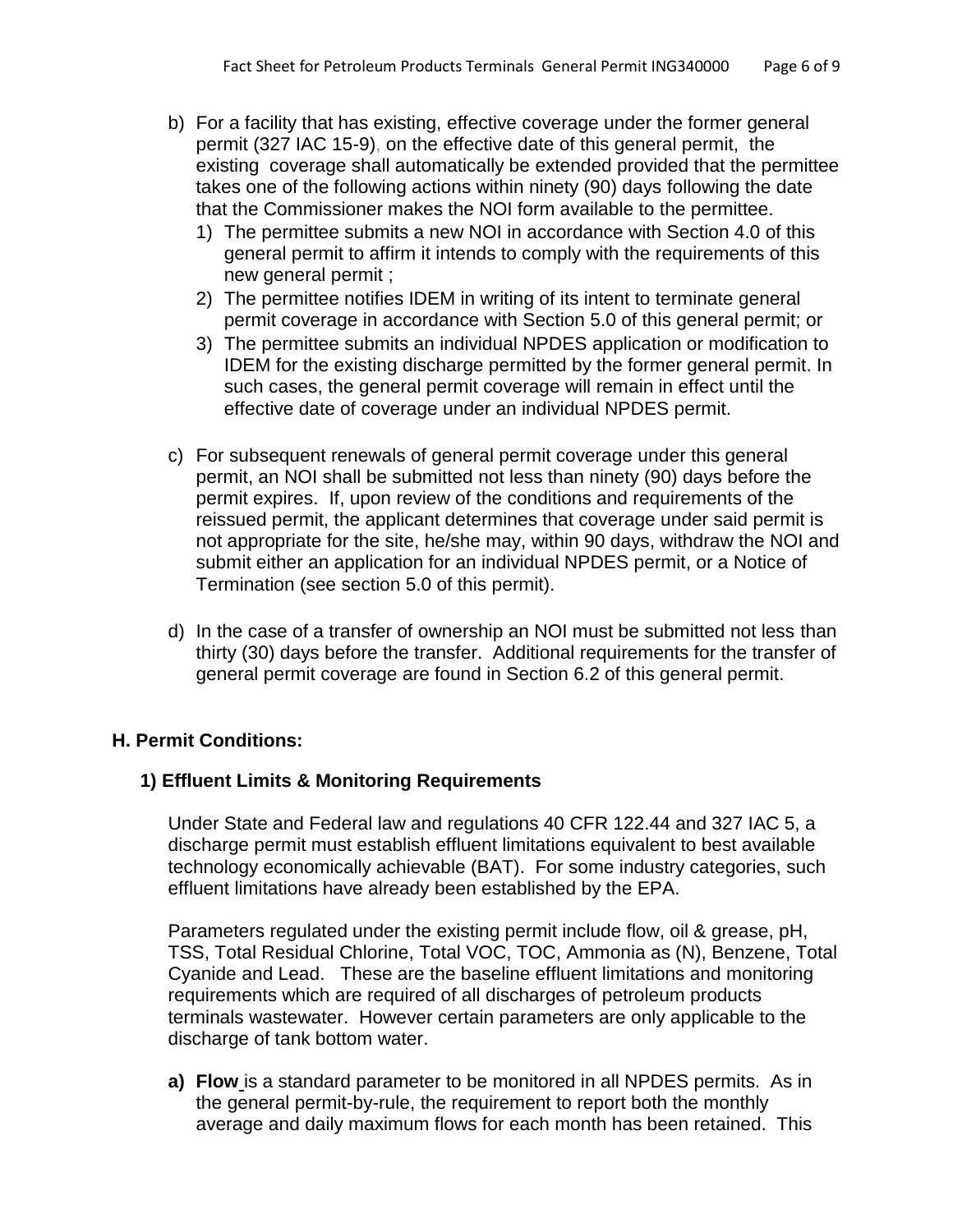- b) For a facility that has existing, effective coverage under the former general permit (327 IAC 15-9), on the effective date of this general permit, the existing coverage shall automatically be extended provided that the permittee takes one of the following actions within ninety (90) days following the date that the Commissioner makes the NOI form available to the permittee.
	- 1) The permittee submits a new NOI in accordance with Section 4.0 of this general permit to affirm it intends to comply with the requirements of this new general permit ;
	- 2) The permittee notifies IDEM in writing of its intent to terminate general permit coverage in accordance with Section 5.0 of this general permit; or
	- 3) The permittee submits an individual NPDES application or modification to IDEM for the existing discharge permitted by the former general permit. In such cases, the general permit coverage will remain in effect until the effective date of coverage under an individual NPDES permit.
- c) For subsequent renewals of general permit coverage under this general permit, an NOI shall be submitted not less than ninety (90) days before the permit expires. If, upon review of the conditions and requirements of the reissued permit, the applicant determines that coverage under said permit is not appropriate for the site, he/she may, within 90 days, withdraw the NOI and submit either an application for an individual NPDES permit, or a Notice of Termination (see section 5.0 of this permit).
- d) In the case of a transfer of ownership an NOI must be submitted not less than thirty (30) days before the transfer. Additional requirements for the transfer of general permit coverage are found in Section 6.2 of this general permit.

# **H. Permit Conditions:**

### **1) Effluent Limits & Monitoring Requirements**

Under State and Federal law and regulations 40 CFR 122.44 and 327 IAC 5, a discharge permit must establish effluent limitations equivalent to best available technology economically achievable (BAT). For some industry categories, such effluent limitations have already been established by the EPA.

Parameters regulated under the existing permit include flow, oil & grease, pH, TSS, Total Residual Chlorine, Total VOC, TOC, Ammonia as (N), Benzene, Total Cyanide and Lead. These are the baseline effluent limitations and monitoring requirements which are required of all discharges of petroleum products terminals wastewater. However certain parameters are only applicable to the discharge of tank bottom water.

**a) Flow** is a standard parameter to be monitored in all NPDES permits. As in the general permit-by-rule, the requirement to report both the monthly average and daily maximum flows for each month has been retained. This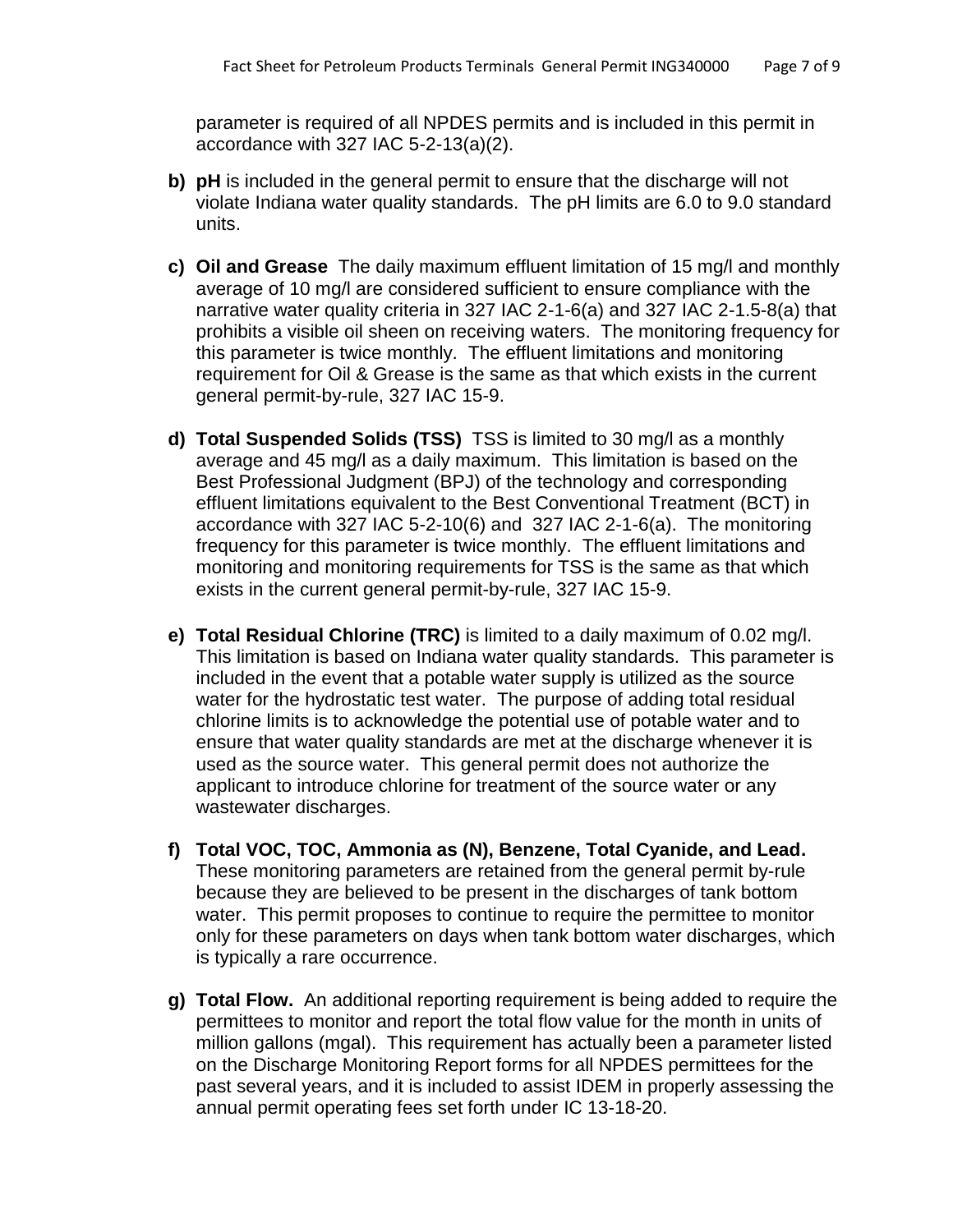parameter is required of all NPDES permits and is included in this permit in accordance with 327 IAC 5-2-13(a)(2).

- **b) pH** is included in the general permit to ensure that the discharge will not violate Indiana water quality standards. The pH limits are 6.0 to 9.0 standard units.
- **c) Oil and Grease** The daily maximum effluent limitation of 15 mg/l and monthly average of 10 mg/l are considered sufficient to ensure compliance with the narrative water quality criteria in 327 IAC 2-1-6(a) and 327 IAC 2-1.5-8(a) that prohibits a visible oil sheen on receiving waters. The monitoring frequency for this parameter is twice monthly. The effluent limitations and monitoring requirement for Oil & Grease is the same as that which exists in the current general permit-by-rule, 327 IAC 15-9.
- **d) Total Suspended Solids (TSS)** TSS is limited to 30 mg/l as a monthly average and 45 mg/l as a daily maximum.This limitation is based on the Best Professional Judgment (BPJ) of the technology and corresponding effluent limitations equivalent to the Best Conventional Treatment (BCT) in accordance with 327 IAC 5-2-10(6) and 327 IAC 2-1-6(a). The monitoring frequency for this parameter is twice monthly. The effluent limitations and monitoring and monitoring requirements for TSS is the same as that which exists in the current general permit-by-rule, 327 IAC 15-9.
- **e) Total Residual Chlorine (TRC)** is limited to a daily maximum of 0.02 mg/l. This limitation is based on Indiana water quality standards. This parameter is included in the event that a potable water supply is utilized as the source water for the hydrostatic test water. The purpose of adding total residual chlorine limits is to acknowledge the potential use of potable water and to ensure that water quality standards are met at the discharge whenever it is used as the source water. This general permit does not authorize the applicant to introduce chlorine for treatment of the source water or any wastewater discharges.
- **f) Total VOC, TOC, Ammonia as (N), Benzene, Total Cyanide, and Lead.**  These monitoring parameters are retained from the general permit by-rule because they are believed to be present in the discharges of tank bottom water. This permit proposes to continue to require the permittee to monitor only for these parameters on days when tank bottom water discharges, which is typically a rare occurrence.
- **g) Total Flow.** An additional reporting requirement is being added to require the permittees to monitor and report the total flow value for the month in units of million gallons (mgal). This requirement has actually been a parameter listed on the Discharge Monitoring Report forms for all NPDES permittees for the past several years, and it is included to assist IDEM in properly assessing the annual permit operating fees set forth under IC 13-18-20.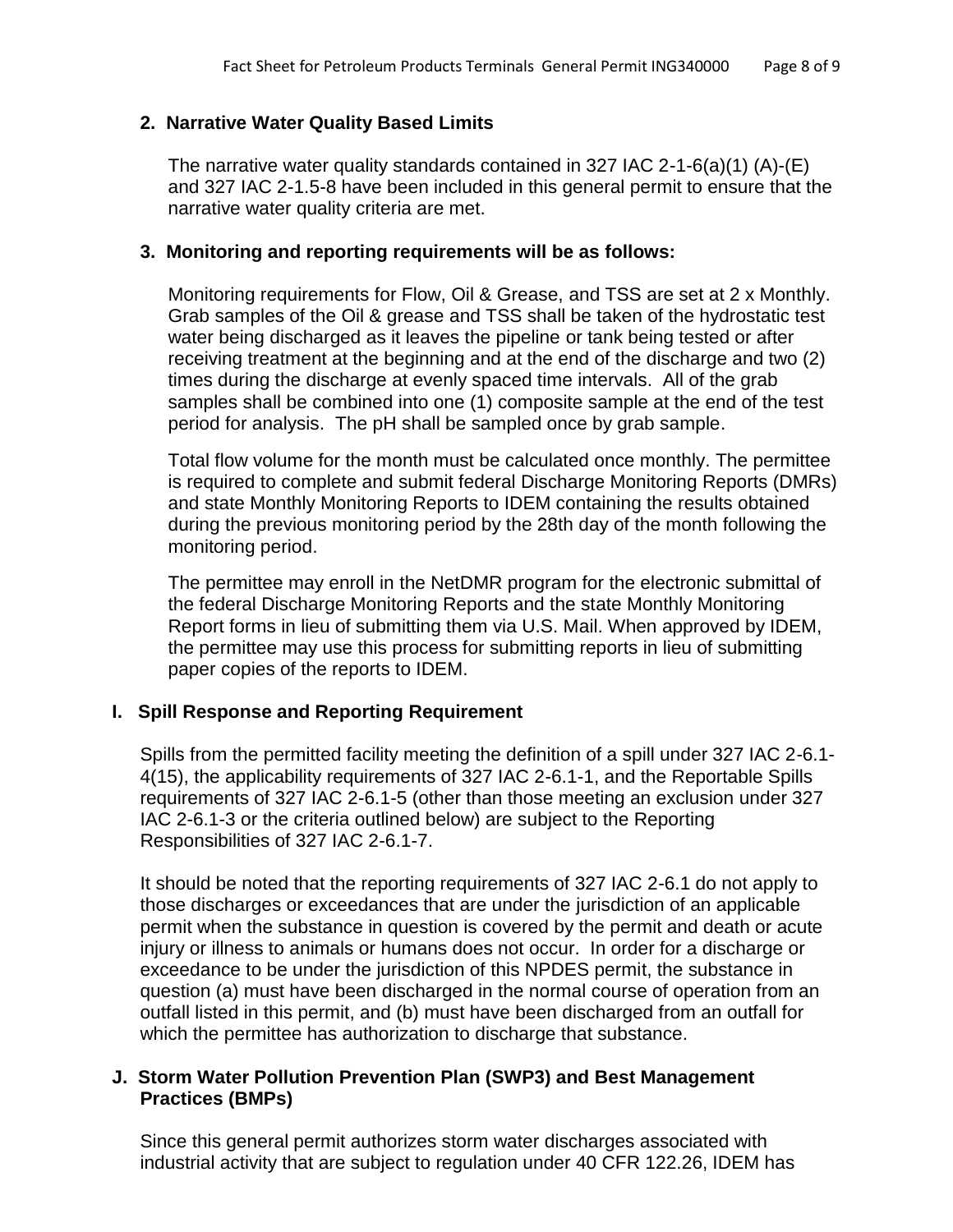### **2. Narrative Water Quality Based Limits**

The narrative water quality standards contained in 327 IAC 2-1-6(a)(1) (A)-(E) and 327 IAC 2-1.5-8 have been included in this general permit to ensure that the narrative water quality criteria are met.

### **3. Monitoring and reporting requirements will be as follows:**

Monitoring requirements for Flow, Oil & Grease, and TSS are set at 2 x Monthly. Grab samples of the Oil & grease and TSS shall be taken of the hydrostatic test water being discharged as it leaves the pipeline or tank being tested or after receiving treatment at the beginning and at the end of the discharge and two (2) times during the discharge at evenly spaced time intervals. All of the grab samples shall be combined into one (1) composite sample at the end of the test period for analysis. The pH shall be sampled once by grab sample.

Total flow volume for the month must be calculated once monthly. The permittee is required to complete and submit federal Discharge Monitoring Reports (DMRs) and state Monthly Monitoring Reports to IDEM containing the results obtained during the previous monitoring period by the 28th day of the month following the monitoring period.

The permittee may enroll in the NetDMR program for the electronic submittal of the federal Discharge Monitoring Reports and the state Monthly Monitoring Report forms in lieu of submitting them via U.S. Mail. When approved by IDEM, the permittee may use this process for submitting reports in lieu of submitting paper copies of the reports to IDEM.

# **I. Spill Response and Reporting Requirement**

Spills from the permitted facility meeting the definition of a spill under 327 IAC 2-6.1- 4(15), the applicability requirements of 327 IAC 2-6.1-1, and the Reportable Spills requirements of 327 IAC 2-6.1-5 (other than those meeting an exclusion under 327 IAC 2-6.1-3 or the criteria outlined below) are subject to the Reporting Responsibilities of 327 IAC 2-6.1-7.

It should be noted that the reporting requirements of 327 IAC 2-6.1 do not apply to those discharges or exceedances that are under the jurisdiction of an applicable permit when the substance in question is covered by the permit and death or acute injury or illness to animals or humans does not occur. In order for a discharge or exceedance to be under the jurisdiction of this NPDES permit, the substance in question (a) must have been discharged in the normal course of operation from an outfall listed in this permit, and (b) must have been discharged from an outfall for which the permittee has authorization to discharge that substance.

### **J. Storm Water Pollution Prevention Plan (SWP3) and Best Management Practices (BMPs)**

Since this general permit authorizes storm water discharges associated with industrial activity that are subject to regulation under 40 CFR 122.26, IDEM has